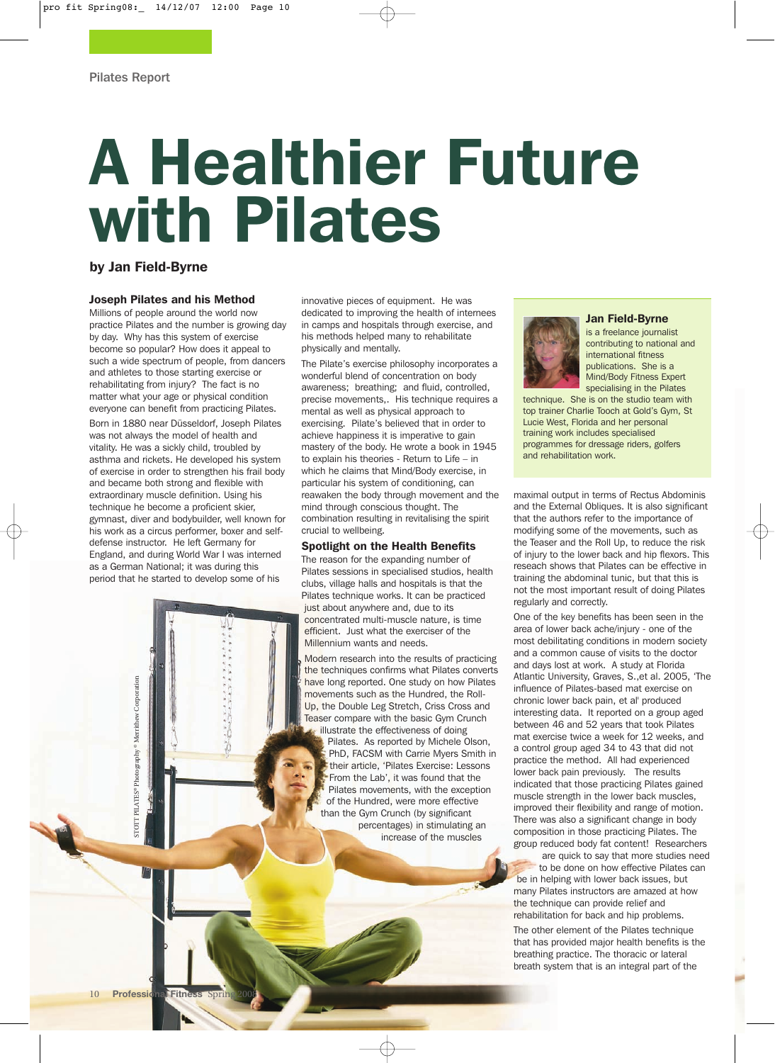# A Healthier Future with Pilates

### by Jan Field-Byrne

#### Joseph Pilates and his Method

Millions of people around the world now practice Pilates and the number is growing day by day. Why has this system of exercise become so popular? How does it appeal to such a wide spectrum of people, from dancers and athletes to those starting exercise or rehabilitating from injury? The fact is no matter what your age or physical condition everyone can benefit from practicing Pilates. Born in 1880 near Düsseldorf, Joseph Pilates was not always the model of health and vitality. He was a sickly child, troubled by asthma and rickets. He developed his system of exercise in order to strengthen his frail body and became both strong and flexible with extraordinary muscle definition. Using his technique he become a proficient skier, gymnast, diver and bodybuilder, well known for his work as a circus performer, boxer and selfdefense instructor. He left Germany for England, and during World War I was interned as a German National; it was during this period that he started to develop some of his

J)

innovative pieces of equipment. He was dedicated to improving the health of internees in camps and hospitals through exercise, and his methods helped many to rehabilitate physically and mentally.

The Pilate's exercise philosophy incorporates a wonderful blend of concentration on body awareness; breathing; and fluid, controlled, precise movements,. His technique requires a mental as well as physical approach to exercising. Pilate's believed that in order to achieve happiness it is imperative to gain mastery of the body. He wrote a book in 1945 to explain his theories - Return to Life – in which he claims that Mind/Body exercise, in particular his system of conditioning, can reawaken the body through movement and the mind through conscious thought. The combination resulting in revitalising the spirit crucial to wellbeing.

#### Spotlight on the Health Benefits

The reason for the expanding number of Pilates sessions in specialised studios, health clubs, village halls and hospitals is that the Pilates technique works. It can be practiced just about anywhere and, due to its concentrated multi-muscle nature, is time efficient. Just what the exerciser of the Millennium wants and needs.

Modern research into the results of practicing the techniques confirms what Pilates converts have long reported. One study on how Pilates movements such as the Hundred, the Roll-Up, the Double Leg Stretch, Criss Cross and Teaser compare with the basic Gym Crunch illustrate the effectiveness of doing

Pilates. As reported by Michele Olson, PhD, FACSM with Carrie Myers Smith in their article, 'Pilates Exercise: Lessons From the Lab', it was found that the Pilates movements, with the exception of the Hundred, were more effective than the Gym Crunch (by significant percentages) in stimulating an increase of the muscles

#### Jan Field-Byrne

is a freelance journalist contributing to national and international fitness publications. She is a Mind/Body Fitness Expert specialising in the Pilates

technique. She is on the studio team with top trainer Charlie Tooch at Gold's Gym, St Lucie West, Florida and her personal training work includes specialised programmes for dressage riders, golfers and rehabilitation work.

maximal output in terms of Rectus Abdominis and the External Obliques. It is also significant that the authors refer to the importance of modifying some of the movements, such as the Teaser and the Roll Up, to reduce the risk of injury to the lower back and hip flexors. This reseach shows that Pilates can be effective in training the abdominal tunic, but that this is not the most important result of doing Pilates regularly and correctly.

One of the key benefits has been seen in the area of lower back ache/injury - one of the most debilitating conditions in modern society and a common cause of visits to the doctor and days lost at work. A study at Florida Atlantic University, Graves, S.,et al. 2005, 'The influence of Pilates-based mat exercise on chronic lower back pain, et al' produced interesting data. It reported on a group aged between 46 and 52 years that took Pilates mat exercise twice a week for 12 weeks, and a control group aged 34 to 43 that did not practice the method. All had experienced lower back pain previously. The results indicated that those practicing Pilates gained muscle strength in the lower back muscles, improved their flexibility and range of motion. There was also a significant change in body composition in those practicing Pilates. The group reduced body fat content! Researchers

are quick to say that more studies need to be done on how effective Pilates can be in helping with lower back issues, but many Pilates instructors are amazed at how the technique can provide relief and rehabilitation for back and hip problems.

The other element of the Pilates technique that has provided major health benefits is the breathing practice. The thoracic or lateral breath system that is an integral part of the

STOTT PILATES® Photography © Merrithew Corporation

TOTT PILATES® Photography® Merrithew Corporation